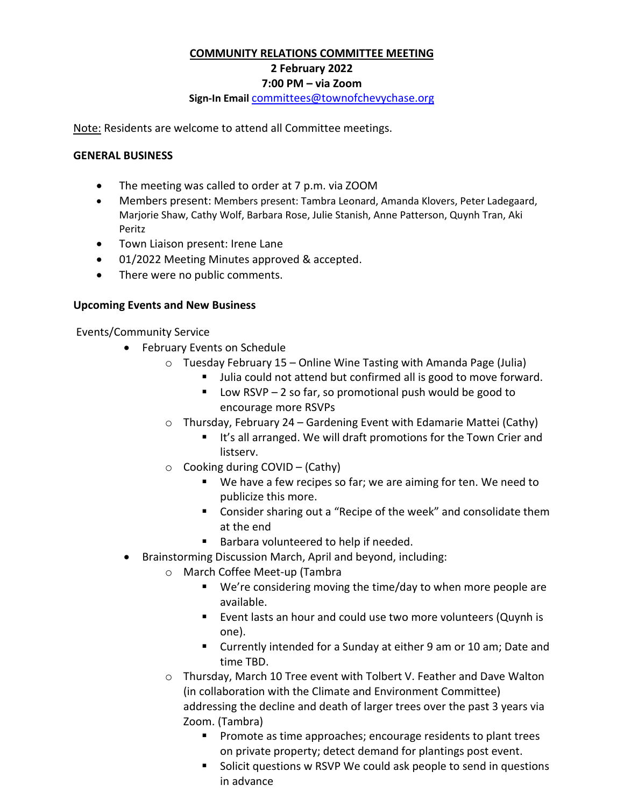### **COMMUNITY RELATIONS COMMITTEE MEETING**

# **2 February 2022**

#### **7:00 PM – via Zoom**

#### **Sign-In Email** [committees@townofchevychase.org](mailto:committees@townofchevychase.org)

Note: Residents are welcome to attend all Committee meetings.

### **GENERAL BUSINESS**

- The meeting was called to order at 7 p.m. via ZOOM
- Members present: Members present: Tambra Leonard, Amanda Klovers, Peter Ladegaard, Marjorie Shaw, Cathy Wolf, Barbara Rose, Julie Stanish, Anne Patterson, Quynh Tran, Aki Peritz
- Town Liaison present: Irene Lane
- 01/2022 Meeting Minutes approved & accepted.
- There were no public comments.

### **Upcoming Events and New Business**

Events/Community Service

- February Events on Schedule
	- $\circ$  Tuesday February 15 Online Wine Tasting with Amanda Page (Julia)
		- Ullia could not attend but confirmed all is good to move forward.
		- $\blacksquare$  Low RSVP 2 so far, so promotional push would be good to encourage more RSVPs
	- o Thursday, February 24 Gardening Event with Edamarie Mattei (Cathy)
		- It's all arranged. We will draft promotions for the Town Crier and listserv.
	- $\circ$  Cooking during COVID (Cathy)
		- We have a few recipes so far; we are aiming for ten. We need to publicize this more.
		- **Consider sharing out a "Recipe of the week" and consolidate them** at the end
		- **Barbara volunteered to help if needed.**
- Brainstorming Discussion March, April and beyond, including:
	- o March Coffee Meet-up (Tambra
		- We're considering moving the time/day to when more people are available.
		- **Event lasts an hour and could use two more volunteers (Quynh is** one).
		- Currently intended for a Sunday at either 9 am or 10 am; Date and time TBD.
	- o Thursday, March 10 Tree event with Tolbert V. Feather and Dave Walton (in collaboration with the Climate and Environment Committee) addressing the decline and death of larger trees over the past 3 years via Zoom. (Tambra)
		- **Promote as time approaches; encourage residents to plant trees** on private property; detect demand for plantings post event.
		- Solicit questions w RSVP We could ask people to send in questions in advance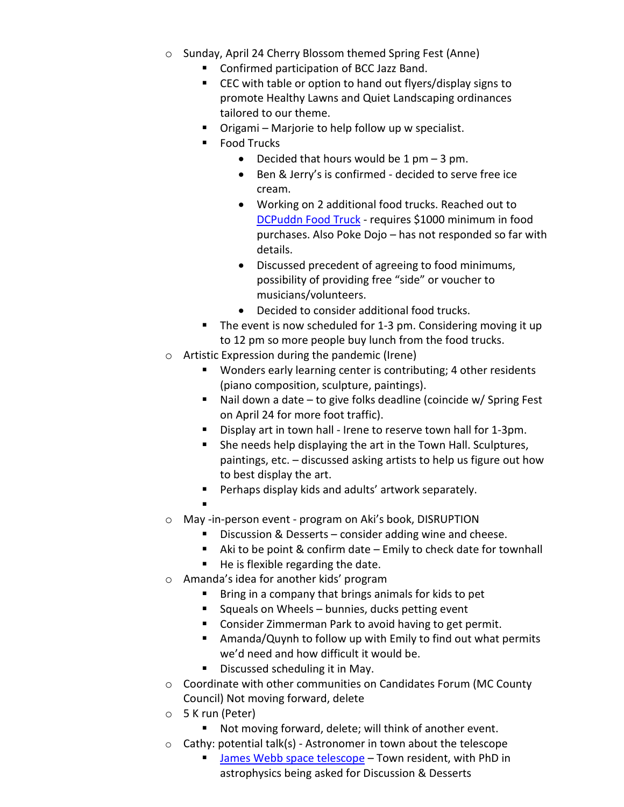- o Sunday, April 24 Cherry Blossom themed Spring Fest (Anne)
	- Confirmed participation of BCC Jazz Band.
	- CEC with table or option to hand out flyers/display signs to promote Healthy Lawns and Quiet Landscaping ordinances tailored to our theme.
	- Origami Marjorie to help follow up w specialist.
	- Food Trucks
		- Decided that hours would be  $1 \text{ pm} 3 \text{ pm}$ .
		- Ben & Jerry's is confirmed decided to serve free ice cream.
		- Working on 2 additional food trucks. Reached out to [DCPuddn Food Truck](https://www.dcpuddin.com/) - requires \$1000 minimum in food purchases. Also Poke Dojo – has not responded so far with details.
		- Discussed precedent of agreeing to food minimums, possibility of providing free "side" or voucher to musicians/volunteers.
		- Decided to consider additional food trucks.
	- The event is now scheduled for 1-3 pm. Considering moving it up to 12 pm so more people buy lunch from the food trucks.
- o Artistic Expression during the pandemic (Irene)
	- **Wonders early learning center is contributing; 4 other residents** (piano composition, sculpture, paintings).
	- Nail down a date to give folks deadline (coincide w/ Spring Fest on April 24 for more foot traffic).
	- Display art in town hall Irene to reserve town hall for 1-3pm.
	- **She needs help displaying the art in the Town Hall. Sculptures,** paintings, etc. – discussed asking artists to help us figure out how to best display the art.
	- **Perhaps display kids and adults' artwork separately.**
- o May -in-person event program on Aki's book, DISRUPTION
	- Discussion & Desserts consider adding wine and cheese.
	- Aki to be point & confirm date Emily to check date for townhall
	- He is flexible regarding the date.
- o Amanda's idea for another kids' program
	- Bring in a company that brings animals for kids to pet
	- Squeals on Wheels bunnies, ducks petting event
	- **Consider Zimmerman Park to avoid having to get permit.**
	- Amanda/Quynh to follow up with Emily to find out what permits we'd need and how difficult it would be.
	- **Discussed scheduling it in May.**
- o Coordinate with other communities on Candidates Forum (MC County Council) Not moving forward, delete
- o 5 K run (Peter)

.

- Not moving forward, delete; will think of another event.
- $\circ$  Cathy: potential talk(s) Astronomer in town about the telescope
	- **James Webb space telescope** Town resident, with PhD in astrophysics being asked for Discussion & Desserts